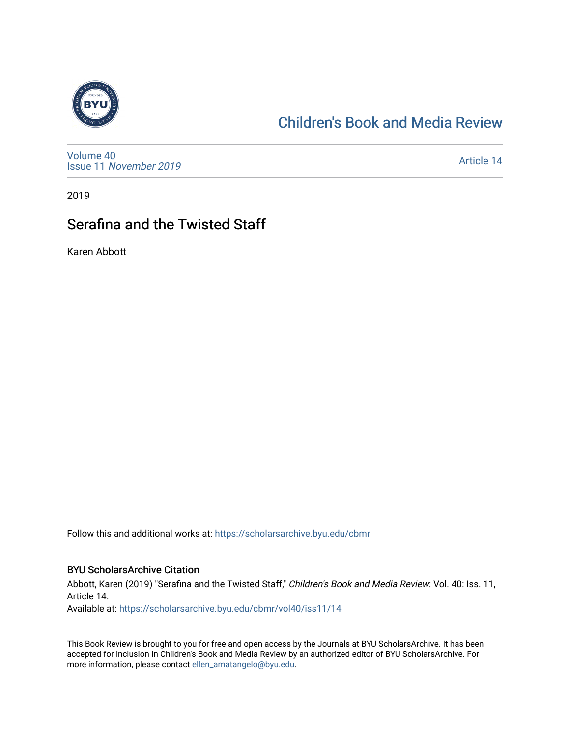

## [Children's Book and Media Review](https://scholarsarchive.byu.edu/cbmr)

[Volume 40](https://scholarsarchive.byu.edu/cbmr/vol40) Issue 11 [November 2019](https://scholarsarchive.byu.edu/cbmr/vol40/iss11) 

[Article 14](https://scholarsarchive.byu.edu/cbmr/vol40/iss11/14) 

2019

## Serafina and the Twisted Staff

Karen Abbott

Follow this and additional works at: [https://scholarsarchive.byu.edu/cbmr](https://scholarsarchive.byu.edu/cbmr?utm_source=scholarsarchive.byu.edu%2Fcbmr%2Fvol40%2Fiss11%2F14&utm_medium=PDF&utm_campaign=PDFCoverPages) 

#### BYU ScholarsArchive Citation

Abbott, Karen (2019) "Serafina and the Twisted Staff," Children's Book and Media Review: Vol. 40: Iss. 11, Article 14.

Available at: [https://scholarsarchive.byu.edu/cbmr/vol40/iss11/14](https://scholarsarchive.byu.edu/cbmr/vol40/iss11/14?utm_source=scholarsarchive.byu.edu%2Fcbmr%2Fvol40%2Fiss11%2F14&utm_medium=PDF&utm_campaign=PDFCoverPages) 

This Book Review is brought to you for free and open access by the Journals at BYU ScholarsArchive. It has been accepted for inclusion in Children's Book and Media Review by an authorized editor of BYU ScholarsArchive. For more information, please contact [ellen\\_amatangelo@byu.edu.](mailto:ellen_amatangelo@byu.edu)